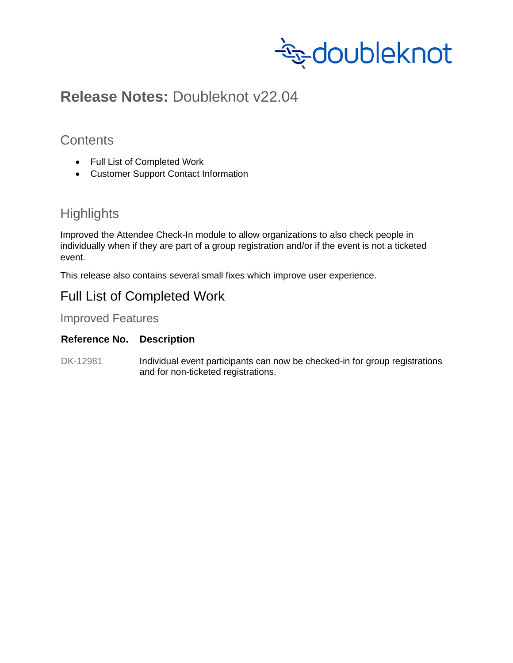

# **Release Notes:** Doubleknot v22.04

### **Contents**

- Full List of Completed Work
- Customer Support Contact Information

# **Highlights**

Improved the Attendee Check-In module to allow organizations to also check people in individually when if they are part of a group registration and/or if the event is not a ticketed event.

This release also contains several small fixes which improve user experience.

## Full List of Completed Work

Improved Features

#### **Reference No. Description**

DK-12981 Individual event participants can now be checked-in for group registrations and for non-ticketed registrations.